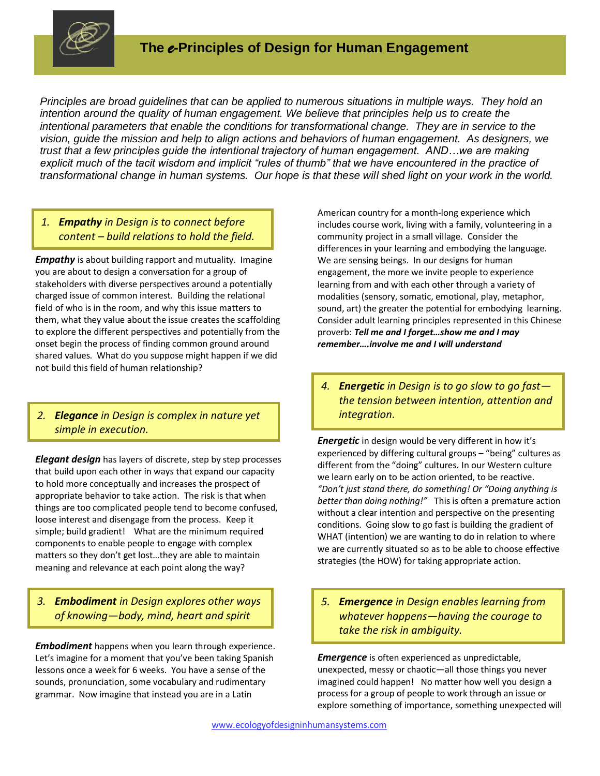

*Principles are broad guidelines that can be applied to numerous situations in multiple ways. They hold an intention around the quality of human engagement. We believe that principles help us to create the intentional parameters that enable the conditions for transformational change. They are in service to the vision, guide the mission and help to align actions and behaviors of human engagement. As designers, we trust that a few principles guide the intentional trajectory of human engagement. AND…we are making explicit much of the tacit wisdom and implicit "rules of thumb" that we have encountered in the practice of transformational change in human systems. Our hope is that these will shed light on your work in the world.*

# *1. Empathy in Design is to connect before content – build relations to hold the field.*

*Empathy* is about building rapport and mutuality. Imagine you are about to design a conversation for a group of stakeholders with diverse perspectives around a potentially charged issue of common interest. Building the relational field of who is in the room, and why this issue matters to them, what they value about the issue creates the scaffolding to explore the different perspectives and potentially from the onset begin the process of finding common ground around shared values. What do you suppose might happen if we did not build this field of human relationship?

# *2. Elegance in Design is complex in nature yet simple in execution.*

*3.*

*Elegant design* has layers of discrete, step by step processes that build upon each other in ways that expand our capacity to hold more conceptually and increases the prospect of appropriate behavior to take action. The risk is that when things are too complicated people tend to become confused, loose interest and disengage from the process. Keep it simple; build gradient! What are the minimum required components to enable people to engage with complex matters so they don't get lost…they are able to maintain meaning and relevance at each point along the way?

# *3. Embodiment in Design explores other ways of knowing—body, mind, heart and spirit*

*Embodiment* happens when you learn through experience. Let's imagine for a moment that you've been taking Spanish lessons once a week for 6 weeks. You have a sense of the sounds, pronunciation, some vocabulary and rudimentary grammar. Now imagine that instead you are in a Latin

American country for a month-long experience which includes course work, living with a family, volunteering in a community project in a small village. Consider the differences in your learning and embodying the language. We are sensing beings. In our designs for human engagement, the more we invite people to experience learning from and with each other through a variety of modalities (sensory, somatic, emotional, play, metaphor, sound, art) the greater the potential for embodying learning. Consider adult learning principles represented in this Chinese proverb: *Tell me and I forget…show me and I may remember….involve me and I will understand*

*4. Energetic in Design is to go slow to go fast the tension between intention, attention and integration.*

*Energetic* in design would be very different in how it's *5.* experienced by differing cultural groups – "being" cultures as *6.* different from the "doing" cultures. In our Western culture we learn early on to be action oriented, to be reactive. *"Don't just stand there, do something! Or "Doing anything is better than doing nothing!"* This is often a premature action without a clear intention and perspective on the presenting conditions. Going slow to go fast is building the gradient of WHAT (intention) we are wanting to do in relation to where we are currently situated so as to be able to choose effective strategies (the HOW) for taking appropriate action. *4.*

*5. Emergence in Design enables learning from whatever happens—having the courage to take the risk in ambiguity.*

*Emergence* is often experienced as unpredictable, *7.* unexpected, messy or chaotic—all those things you never *8.* imagined could happen! No matter how well you design a process for a group of people to work through an issue or explore something of importance, something unexpected will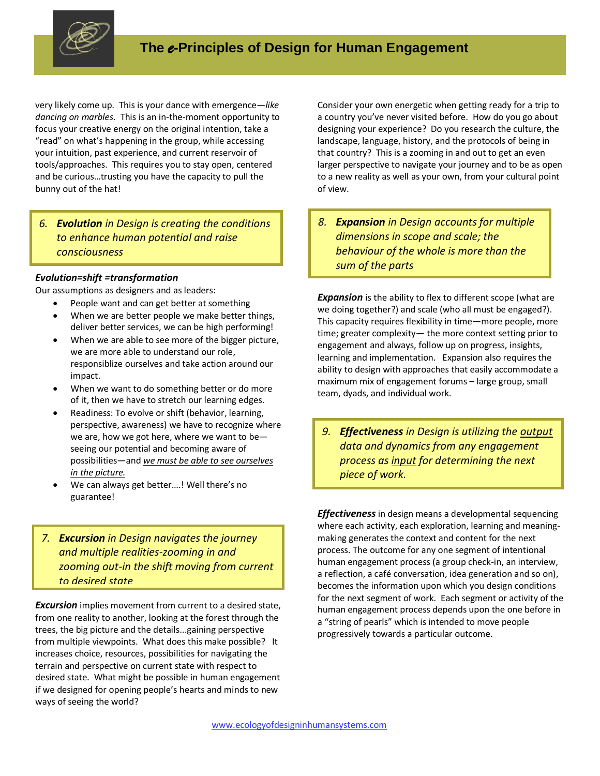

very likely come up. This is your dance with emergence—*like dancing on marbles*. This is an in-the-moment opportunity to focus your creative energy on the original intention, take a "read" on what's happening in the group, while accessing your intuition, past experience, and current reservoir of tools/approaches. This requires you to stay open, centered and be curious…trusting you have the capacity to pull the bunny out of the hat!

### *6. Evolution in Design is creating the conditions to enhance human potential and raise consciousness*

#### *Evolution=shift =transformation*

Our assumptions as designers and as leaders: *9.*

- People want and can get better at something *10.*
	- When we are better people we make better things, deliver better services, we can be high performing!
	- When we are able to see more of the bigger picture, we are more able to understand our role, responsiblize ourselves and take action around our impact.
	- When we want to do something better or do more of it, then we have to stretch our learning edges.
	- Readiness: To evolve or shift (behavior, learning, perspective, awareness) we have to recognize where we are, how we got here, where we want to be seeing our potential and becoming aware of possibilities—and *we must be able to see ourselves in the picture.*
	- We can always get better….! Well there's no guarantee!

### *7. Excursion in Design navigates the journey and multiple realities-zooming in and zooming out-in the shift moving from current to desired state*

*Excursion* implies movement from current to a desired state, from one reality to another, looking at the forest through the trees, the big picture and the details...gaining perspective *11.* from multiple viewpoints. What does this make possible? It *12.* increases choice, resources, possibilities for navigating the terrain and perspective on current state with respect to desired state. What might be possible in human engagement if we designed for opening people's hearts and minds to new ways of seeing the world?

Consider your own energetic when getting ready for a trip to a country you've never visited before. How do you go about designing your experience? Do you research the culture, the landscape, language, history, and the protocols of being in that country? This is a zooming in and out to get an even larger perspective to navigate your journey and to be as open to a new reality as well as your own, from your cultural point of view.

*8. Expansion in Design accounts for multiple dimensions in scope and scale; the behaviour of the whole is more than the sum of the parts*

*Expansion* is the ability to flex to different scope (what are *13.* we doing together?) and scale (who all must be engaged?). *14.* This capacity requires flexibility in time—more people, more time; greater complexity— the more context setting prior to engagement and always, follow up on progress, insights, learning and implementation. Expansion also requires the ability to design with approaches that easily accommodate a maximum mix of engagement forums – large group, small team, dyads, and individual work.

*9. Effectiveness in Design is utilizing the output data and dynamics from any engagement process as input for determining the next piece of work.* 

*Effectiveness* in design means a developmental sequencing *16.*where each activity, each exploration, learning and meaningmaking generates the context and content for the next process. The outcome for any one segment of intentional human engagement process (a group check-in, an interview, a reflection, a café conversation, idea generation and so on), becomes the information upon which you design conditions for the next segment of work. Each segment or activity of the human engagement process depends upon the one before in a "string of pearls" which is intended to move people progressively towards a particular outcome.